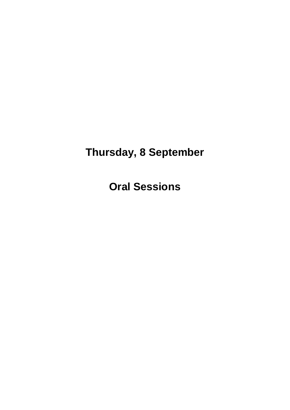## **Thursday, 8 September**

**Oral Sessions**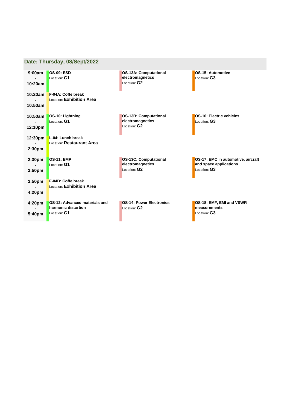|                                          | Date: Thursday, 08/Sept/2022                                         |                                                                  |                                                                              |
|------------------------------------------|----------------------------------------------------------------------|------------------------------------------------------------------|------------------------------------------------------------------------------|
| 9:00am<br>10:20am                        | <b>OS-09: ESD</b><br>Location: G1                                    | <b>OS-13A: Computational</b><br>electromagnetics<br>Location: G2 | OS-15: Automotive<br>Location: G3                                            |
| 10:20am                                  | F-04A: Coffe break<br>Location: Exhibition Area                      |                                                                  |                                                                              |
| 10:50am<br>10:50am                       | OS-10: Lightning                                                     | <b>OS-13B: Computational</b>                                     | OS-16: Electric vehicles                                                     |
| 12:10pm                                  | Location: G1                                                         | electromagnetics<br>Location: G2                                 | Location: G3                                                                 |
| 12:30pm<br>2:30 <sub>pm</sub>            | L-04: Lunch break<br>Location: Restaurant Area                       |                                                                  |                                                                              |
| 2:30pm<br>3:50 <sub>pm</sub>             | <b>OS-11: EMP</b><br>Location: G1                                    | <b>OS-13C: Computational</b><br>electromagnetics<br>Location: G2 | OS-17: EMC in automotive, aircraft<br>and space applications<br>Location: G3 |
| 3:50 <sub>pm</sub><br>4:20 <sub>pm</sub> | F-04B: Coffe break<br>Location: Exhibition Area                      |                                                                  |                                                                              |
| 4:20pm<br>5:40pm                         | OS-12: Advanced materials and<br>harmonic distortion<br>Location: G1 | <b>OS-14: Power Electronics</b><br>Location: G2                  | OS-18: EMF, EMI and VSWR<br>measurements<br>Location: G3                     |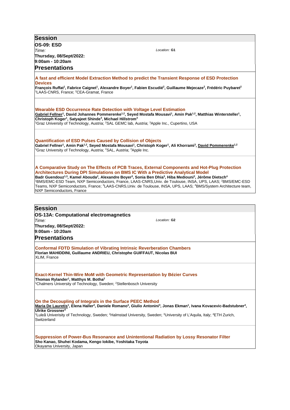| <b>Session</b>                                                                                                                                                                                                                                                                                                                                                            |
|---------------------------------------------------------------------------------------------------------------------------------------------------------------------------------------------------------------------------------------------------------------------------------------------------------------------------------------------------------------------------|
| <b>OS-09: ESD</b>                                                                                                                                                                                                                                                                                                                                                         |
| Location: G1<br>Time:                                                                                                                                                                                                                                                                                                                                                     |
| Thursday, 08/Sept/2022:<br>9:00am - 10:20am                                                                                                                                                                                                                                                                                                                               |
| <b>Presentations</b>                                                                                                                                                                                                                                                                                                                                                      |
|                                                                                                                                                                                                                                                                                                                                                                           |
| A fast and efficient Model Extraction Method to predict the Transient Response of ESD Protection<br><b>Devices</b>                                                                                                                                                                                                                                                        |
| François Ruffat <sup>1</sup> , Fabrice Caignet <sup>1</sup> , Alexandre Boyer <sup>1</sup> , Fabien Escudié <sup>2</sup> , Guillaume Mejecaze <sup>2</sup> , Frédéric Puybaret <sup>2</sup><br><sup>1</sup> LAAS-CNRS, France, <sup>2</sup> CEA-Gramat, France                                                                                                            |
| <b>Wearable ESD Occurrence Rate Detection with Voltage Level Estimation</b>                                                                                                                                                                                                                                                                                               |
| Gabriel Fellner <sup>1</sup> , David Johannes Pommerenke <sup>1,2</sup> , Seyed Mostafa Mousavi <sup>1</sup> , Amin Pak <sup>1,2</sup> , Matthias Wintersteller <sup>1</sup> ,                                                                                                                                                                                            |
| Christoph Koger <sup>1</sup> , Satyajeet Shinde <sup>3</sup> , Michael Hillstrom <sup>3</sup><br><sup>1</sup> Graz University of Technology, Austria; <sup>2</sup> SAL GEMC lab, Austria; <sup>3</sup> Apple Inc., Cupertino, USA                                                                                                                                         |
|                                                                                                                                                                                                                                                                                                                                                                           |
| <b>Quantification of ESD Pulses Caused by Collision of Objects</b><br>Gabriel Fellner <sup>1</sup> , Amin Pak <sup>1,2</sup> , Seyed Mostafa Mousavi <sup>1</sup> , Christoph Koger <sup>1</sup> , Ali Khorrami <sup>3</sup> , David Pommerenke <sup>1,2</sup><br><sup>1</sup> Graz University of Technology, Austria; <sup>2</sup> SAL, Austria; <sup>3</sup> Apple Inc. |
| A Comparative Study on The Effects of PCB Traces, External Components and Hot-Plug Protection                                                                                                                                                                                                                                                                             |
| <b>Architectures During DPI Simulations on BMS IC With a Predictive Analytical Model</b><br>Badr Guendouz <sup>1,3</sup> , Kamel Abouda <sup>2</sup> , Alexandre Boyer <sup>3</sup> , Sonia Ben Dhia <sup>3</sup> , Hiba Mediouni <sup>2</sup> , Jérôme Dietsch <sup>4</sup>                                                                                              |
| <sup>1</sup> BMS/EMC-ESD Team, NXP Semiconductors, France, LAAS-CNRS,Univ. de Toulouse, INSA, UPS, LAAS; <sup>2</sup> BMS/EMC-ESD                                                                                                                                                                                                                                         |
| Teams, NXP Semiconductors, France; <sup>3</sup> LAAS-CNRS, Univ. de Toulouse, INSA, UPS, LAAS; <sup>4</sup> BMS/System Architecture team,<br><b>NXP Semiconductors. France</b>                                                                                                                                                                                            |
|                                                                                                                                                                                                                                                                                                                                                                           |
| <b>Session</b>                                                                                                                                                                                                                                                                                                                                                            |
| <b>OS-13A: Computational electromagnetics</b>                                                                                                                                                                                                                                                                                                                             |
| Location: G <sub>2</sub><br>Time:                                                                                                                                                                                                                                                                                                                                         |
| Thursday, 08/Sept/2022:<br>9:00am - 10:20am                                                                                                                                                                                                                                                                                                                               |
| <b>Presentations</b>                                                                                                                                                                                                                                                                                                                                                      |
|                                                                                                                                                                                                                                                                                                                                                                           |
| <b>Conformal FDTD Simulation of Vibrating Intrinsic Reverberation Chambers</b><br>Florian MAHIDDINI, Guillaume ANDRIEU, Christophe GUIFFAUT, Nicolas BUI<br>XLIM, France                                                                                                                                                                                                  |
| Exact-Kernel Thin-Wire MoM with Geometric Representation by Bézier Curves                                                                                                                                                                                                                                                                                                 |
| Thomas Rylander <sup>1</sup> , Matthys M. Botha <sup>2</sup>                                                                                                                                                                                                                                                                                                              |
| <sup>1</sup> Chalmers University of Technology, Sweden; <sup>2</sup> Stellenbosch University                                                                                                                                                                                                                                                                              |
| On the Decoupling of Integrals in the Surface PEEC Method                                                                                                                                                                                                                                                                                                                 |
| Maria De Lauretis <sup>1</sup> , Elena Haller <sup>2</sup> , Daniele Romano <sup>3</sup> , Giulio Antonini <sup>3</sup> , Jonas Ekman <sup>1</sup> , Ivana Kovacevic-Badstubner <sup>4</sup> ,                                                                                                                                                                            |
| Ulrike Grossner <sup>4</sup><br><sup>1</sup> Luleå Univerisity of Technology, Sweden; <sup>2</sup> Halmstad University, Sweden; <sup>3</sup> University of L'Aquila, Italy; <sup>4</sup> ETH Zurich,<br>Switzerland                                                                                                                                                       |
| Suppression of Power-Bus Resonance and Unintentional Radiation by Lossy Resonator Filter                                                                                                                                                                                                                                                                                  |
| Sho Kanao, Shuhei Kodama, Kengo lokibe, Yoshitaka Toyota<br>Okayama University, Japan                                                                                                                                                                                                                                                                                     |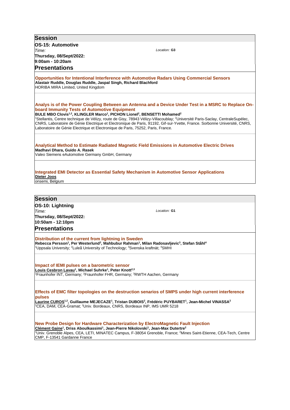| <b>Session</b>                                                                                                                                                                                                                                                                                                                                                                                                                                                                                                                                                                                                                                            |
|-----------------------------------------------------------------------------------------------------------------------------------------------------------------------------------------------------------------------------------------------------------------------------------------------------------------------------------------------------------------------------------------------------------------------------------------------------------------------------------------------------------------------------------------------------------------------------------------------------------------------------------------------------------|
| <b>OS-15: Automotive</b>                                                                                                                                                                                                                                                                                                                                                                                                                                                                                                                                                                                                                                  |
| Location: G3<br>Time:                                                                                                                                                                                                                                                                                                                                                                                                                                                                                                                                                                                                                                     |
| Thursday, 08/Sept/2022:                                                                                                                                                                                                                                                                                                                                                                                                                                                                                                                                                                                                                                   |
| 9:00am - 10:20am                                                                                                                                                                                                                                                                                                                                                                                                                                                                                                                                                                                                                                          |
| <b>Presentations</b>                                                                                                                                                                                                                                                                                                                                                                                                                                                                                                                                                                                                                                      |
| <b>Opportunities for Intentional Interference with Automotive Radars Using Commercial Sensors</b><br>Alastair Ruddle, Douglas Ruddle, Jaspal Singh, Richard Blachford<br>HORIBA MIRA Limited, United Kingdom                                                                                                                                                                                                                                                                                                                                                                                                                                              |
| Analys is of the Power Coupling Between an Antenna and a Device Under Test in a MSRC to Replace On-<br>board Immunity Tests of Automotive Equipment<br>BULE MBO Clovis <sup>1,2</sup> , KLINGLER Marco <sup>1</sup> , PICHON Lionel <sup>2</sup> , BENSETTI Mohamed <sup>2</sup><br><sup>1</sup> Stellantis, Centre technique de Vélizy, route de Gisy, 78943 Vélizy-Villacoublay; <sup>2</sup> Université Paris-Saclay, CentraleSupélec,<br>CNRS, Laboratoire de Génie Electrique et Electronique de Paris, 91192, Gif-sur-Yvette, France. Sorbonne Université, CNRS,<br>Laboratoire de Génie Electrique et Electronique de Paris, 75252, Paris, France. |
| Analytical Method to Estimate Radiated Magnetic Field Emissions in Automotive Electric Drives<br>Madhavi Dhara, Guido A. Rasek<br>Valeo Siemens eAutomotive Germany GmbH, Germany                                                                                                                                                                                                                                                                                                                                                                                                                                                                         |
| Integrated EMI Detector as Essential Safety Mechanism in Automotive Sensor Applications<br>Dieter Joos<br>onsemi, Belgium                                                                                                                                                                                                                                                                                                                                                                                                                                                                                                                                 |
| <b>Session</b>                                                                                                                                                                                                                                                                                                                                                                                                                                                                                                                                                                                                                                            |
| OS-10: Lightning                                                                                                                                                                                                                                                                                                                                                                                                                                                                                                                                                                                                                                          |
| Time:<br>Location: G1                                                                                                                                                                                                                                                                                                                                                                                                                                                                                                                                                                                                                                     |
| Thursday, 08/Sept/2022:                                                                                                                                                                                                                                                                                                                                                                                                                                                                                                                                                                                                                                   |
| 10:50am - 12:10pm                                                                                                                                                                                                                                                                                                                                                                                                                                                                                                                                                                                                                                         |
| <b>Presentations</b>                                                                                                                                                                                                                                                                                                                                                                                                                                                                                                                                                                                                                                      |
| Distribution of the current from lightning in Sweden<br>Rebecca Persson <sup>1</sup> , Per Westerlund <sup>2</sup> , Mahbubur Rahman <sup>1</sup> , Milan Radosavljevic <sup>3</sup> , Stefan Ståhl <sup>4</sup><br><sup>1</sup> Uppsala University; <sup>2</sup> Luleå University of Technology; <sup>3</sup> Svenska kraftnät; <sup>4</sup> SMHI                                                                                                                                                                                                                                                                                                        |
| Impact of IEMI pulses on a barometric sensor<br>Louis Cesbron Lavau <sup>1</sup> , Michael Suhrke <sup>1</sup> , Peter Knott <sup>2,3</sup><br><sup>1</sup> Fraunhofer INT, Germany; <sup>2</sup> Fraunhofer FHR, Germany; <sup>3</sup> RWTH Aachen, Germany                                                                                                                                                                                                                                                                                                                                                                                              |
| Effects of EMC filter topologies on the destruction senarios of SMPS under high current interference<br>pulses<br>Laurine CUROS <sup>1,2</sup> , Guillaume MEJECAZE <sup>1</sup> , Tristan DUBOIS <sup>2</sup> , Frédéric PUYBARET <sup>1</sup> , Jean-Michel VINASSA <sup>2</sup><br><sup>1</sup> CEA, DAM, CEA-Gramat; <sup>2</sup> Univ. Bordeaux, CNRS, Bordeaux INP, IMS UMR 5218                                                                                                                                                                                                                                                                    |
| New Probe Design for Hardware Characterization by ElectroMagnetic Fault Injection<br>Clément Gaine <sup>1</sup> , Driss Aboulkassimi <sup>1</sup> , Jean-Pierre Nikolovski <sup>1</sup> , Jean-Max Dutertre <sup>2</sup><br><sup>1</sup> Univ. Grenoble Alpes, CEA, LETI, MINATEC Campus, F-38054 Grenoble, France; <sup>2</sup> Mines Saint-Etienne, CEA-Tech, Centre<br>CMP, F-13541 Gardanne France                                                                                                                                                                                                                                                    |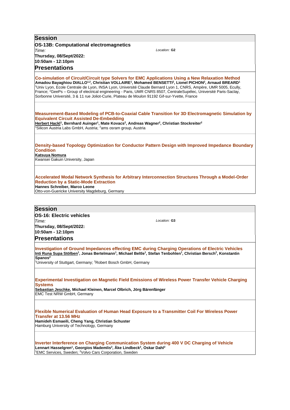**Session OS-13B: Computational electromagnetics** *Time:*  **Thursday, 08/Sept/2022: 10:50am - 12:10pm** *Location:* **G2 Presentations Co-simulation of Circuit/Circuit type Solvers for EMC Applications Using a New Relaxation Method Amadou Bayaghiou DIALLO1,2, Christian VOLLAIRE<sup>1</sup> , Mohamed BENSETTI<sup>2</sup> , Lionel PICHON<sup>2</sup> , Arnaud BREARD<sup>1</sup>** <sup>1</sup>Univ Lyon, Ecole Centrale de Lyon, INSA Lyon, Université Claude Bernard Lyon 1, CNRS, Ampère, UMR 5005, Ecully, France; <sup>2</sup>GeePs – Group of electrical engineering - Paris, UMR CNRS 8507, CentraleSupélec, Université Paris-Saclay, Sorbonne Université, 3 & 11 rue Joliot-Curie, Plateau de Moulon 91192 Gif-sur-Yvette, France **Measurement-Based Modeling of PCB-to-Coaxial Cable Transition for 3D Electromagnetic Simulation by Equivalent Circuit Assisted De-Embedding Herbert Hackl<sup>1</sup> , Bernhard Auinger<sup>1</sup> , Mate Kovacs<sup>2</sup> , Andreas Wagner<sup>2</sup> , Christian Stockreiter<sup>2</sup>** <sup>1</sup>Silicon Austria Labs GmbH, Austria; <sup>2</sup>ams osram group, Austria **Density-based Topology Optimization for Conductor Pattern Design with Improved Impedance Boundary Condition Katsuya Nomura** Kwansei Gakuin University, Japan **Accelerated Modal Network Synthesis for Arbitrary Interconnection Structures Through a Model-Order Reduction by a Static-Mode Extraction Hannes Schreiber, Marco Leone** Otto-von-Guericke University Magdeburg, Germany **Session OS-16: Electric vehicles** *Time:*  **Thursday, 08/Sept/2022: 10:50am - 12:10pm** *Location:* **G3 Presentations Investigation of Ground Impedances effecting EMC during Charging Operations of Electric Vehicles Inti Runa Supa Stölben<sup>1</sup> , Jonas Bertelmann<sup>1</sup> , Michael Beltle<sup>1</sup> , Stefan Tenbohlen<sup>1</sup> , Christian Bersch<sup>2</sup> , Konstantin Spanos<sup>2</sup>** <sup>1</sup>University of Stuttgart, Germany; <sup>2</sup>Robert Bosch GmbH, Germany **Experimental Investigation on Magnetic Field Emissions of Wireless Power Transfer Vehicle Charging Systems Sebastian Jeschke, Michael Kleinen, Marcel Olbrich, Jörg Bärenfänger** EMC Test NRW GmbH, Germany **Flexible Numerical Evaluation of Human Head Exposure to a Transmitter Coil For Wireless Power Transfer at 13.56 MHz Hamideh Esmaeili, Cheng Yang, Christian Schuster** Hamburg University of Technology, Germany **Inverter Interference on Charging Communication System during 400 V DC Charging of Vehicle Lennart Hasselgren<sup>1</sup> , Georgios Mademlis<sup>2</sup> , Åke Lindbeck<sup>2</sup> , Oskar Dahl<sup>2</sup>**

<sup>1</sup>EMC Services, Sweden; <sup>2</sup>Volvo Cars Corporation, Sweden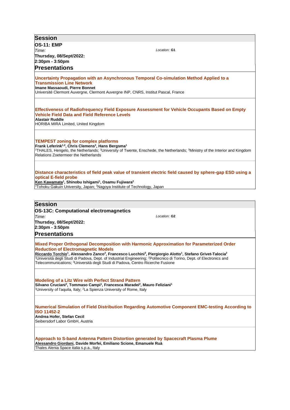| <b>Session</b>                                                                                                                                                                                                                                                                                                                                                                                                                                                                                                                                                   |
|------------------------------------------------------------------------------------------------------------------------------------------------------------------------------------------------------------------------------------------------------------------------------------------------------------------------------------------------------------------------------------------------------------------------------------------------------------------------------------------------------------------------------------------------------------------|
| <b>OS-11: EMP</b>                                                                                                                                                                                                                                                                                                                                                                                                                                                                                                                                                |
| Location: G1<br>Time:                                                                                                                                                                                                                                                                                                                                                                                                                                                                                                                                            |
| Thursday, 08/Sept/2022:                                                                                                                                                                                                                                                                                                                                                                                                                                                                                                                                          |
| 2:30pm - 3:50pm                                                                                                                                                                                                                                                                                                                                                                                                                                                                                                                                                  |
| <b>Presentations</b>                                                                                                                                                                                                                                                                                                                                                                                                                                                                                                                                             |
|                                                                                                                                                                                                                                                                                                                                                                                                                                                                                                                                                                  |
| Uncertainty Propagation with an Asynchronous Temporal Co-simulation Method Applied to a<br><b>Transmission Line Network</b><br><b>Imane Massaoudi, Pierre Bonnet</b><br>Université Clermont Auvergne, Clermont Auvergne INP, CNRS, Institut Pascal, France                                                                                                                                                                                                                                                                                                       |
|                                                                                                                                                                                                                                                                                                                                                                                                                                                                                                                                                                  |
| Effectiveness of Radiofrequency Field Exposure Assessment for Vehicle Occupants Based on Empty<br><b>Vehicle Field Data and Field Reference Levels</b><br>Alastair Ruddle<br>HORIBA MIRA Limited, United Kingdom                                                                                                                                                                                                                                                                                                                                                 |
|                                                                                                                                                                                                                                                                                                                                                                                                                                                                                                                                                                  |
| <b>TEMPEST zoning for complex platforms</b><br>Frank Leferink <sup>1,2</sup> , Chris Clemens <sup>3</sup> , Hans Bergsma <sup>1</sup><br><sup>1</sup> THALES, Hengelo, the Netherlands; <sup>2</sup> University of Twente, Enschede, the Netherlands; <sup>3</sup> Ministry of the Interior and Kingdom<br><b>Relations Zoetermeer the Netherlands</b>                                                                                                                                                                                                           |
| Distance characteristics of field peak value of transient electric field caused by sphere-gap ESD using a<br>optical E-field probe<br>Ken Kawamata <sup>1</sup> , Shinobu Ishigami <sup>1</sup> , Osamu Fujiwara <sup>2</sup><br><sup>1</sup> Tohoku Gakuin University, Japan; <sup>2</sup> Nagoya Institute of Technology, Japan                                                                                                                                                                                                                                |
|                                                                                                                                                                                                                                                                                                                                                                                                                                                                                                                                                                  |
| <b>Session</b>                                                                                                                                                                                                                                                                                                                                                                                                                                                                                                                                                   |
| <b>OS-13C: Computational electromagnetics</b>                                                                                                                                                                                                                                                                                                                                                                                                                                                                                                                    |
| Location: G2<br>Time:                                                                                                                                                                                                                                                                                                                                                                                                                                                                                                                                            |
| Thursday, 08/Sept/2022:                                                                                                                                                                                                                                                                                                                                                                                                                                                                                                                                          |
| 2:30pm - 3:50pm                                                                                                                                                                                                                                                                                                                                                                                                                                                                                                                                                  |
| <b>Presentations</b>                                                                                                                                                                                                                                                                                                                                                                                                                                                                                                                                             |
| Mixed Proper Orthogonal Decomposition with Harmonic Approximation for Parameterized Order<br><b>Reduction of Electromagnetic Models</b><br>Riccardo Torchio <sup>1</sup> , Alessandro Zanco <sup>2</sup> , Francesco Lucchini <sup>3</sup> , Piergiorgio Alotto <sup>1</sup> , Stefano Grivet-Talocia <sup>2</sup><br><sup>1</sup> Università degli Studi di Padova, Dept. of Industrial Engineering; <sup>2</sup> Politecnico di Torino, Dept. of Electronics and<br>Telecommunications; <sup>3</sup> Università degli Studi di Padova, Centro Ricerche Fusione |
| <b>Modeling of a Litz Wire with Perfect Strand Pattern</b><br>Silvano Cruciani <sup>2</sup> , Tommaso Campi <sup>1</sup> , Francesca Maradei <sup>2</sup> , Mauro Feliziani <sup>1</sup><br><sup>1</sup> University of l'aquila, Italy; <sup>2</sup> La Spienza University of Rome, Italy                                                                                                                                                                                                                                                                        |
| Numerical Simulation of Field Distribution Regarding Automotive Component EMC-testing According to<br><b>ISO 11452-2</b><br>Andrea Hofer, Stefan Cecil<br>Seibersdorf Labor GmbH, Austria                                                                                                                                                                                                                                                                                                                                                                        |
| Approach to S-band Antenna Pattern Distortion generated by Spacecraft Plasma Plume<br>Alessandro Giordani, Davide Morfei, Emiliano Scione, Emanuele Ruà<br>Thales Alenia Space italia s.p.a., Italy                                                                                                                                                                                                                                                                                                                                                              |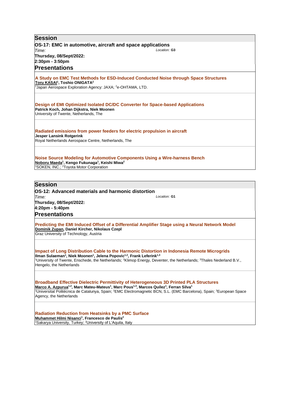| <b>Session</b>                                                                                                                                                                                                                                 |
|------------------------------------------------------------------------------------------------------------------------------------------------------------------------------------------------------------------------------------------------|
| OS-17: EMC in automotive, aircraft and space applications                                                                                                                                                                                      |
| Location: G3<br>Time:                                                                                                                                                                                                                          |
| Thursday, 08/Sept/2022:                                                                                                                                                                                                                        |
| 2:30pm - 3:50pm<br><b>Presentations</b>                                                                                                                                                                                                        |
|                                                                                                                                                                                                                                                |
| A Study on EMC Test Methods for ESD-Induced Conducted Noise through Space Structures<br>Toru KASAI <sup>1</sup> , Toshio ONIGATA <sup>2</sup><br><sup>1</sup> Japan Aerospace Exploration Agency: JAXA; <sup>2</sup> e-OHTAMA, LTD.            |
| Design of EMI Optimized Isolated DC/DC Converter for Space-based Applications<br>Patrick Koch, Johan Dijkstra, Niek Moonen<br>University of Twente, Netherlands, The                                                                           |
| Radiated emissions from power feeders for electric propulsion in aircraft<br><b>Jesper Lansink Rotgerink</b><br>Royal Netherlands Aerospace Centre, Netherlands, The                                                                           |
| Noise Source Modeling for Automotive Components Using a Wire-harness Bench<br>Noboru Maeda <sup>1</sup> , Kengo Fukunaga <sup>1</sup> , Keishi Miwa <sup>2</sup><br><sup>1</sup> SOKEN, INC.; <sup>2</sup> Toyota Motor Corporation            |
| <b>Session</b>                                                                                                                                                                                                                                 |
| OS-12: Advanced materials and harmonic distortion                                                                                                                                                                                              |
| Location: G1<br>Time:                                                                                                                                                                                                                          |
| Thursday, 08/Sept/2022:                                                                                                                                                                                                                        |
| 4:20pm - 5:40pm                                                                                                                                                                                                                                |
| <b>Presentations</b>                                                                                                                                                                                                                           |
| Predicting the EMI Induced Offset of a Differential Amplifier Stage using a Neural Network Model<br>Dominik Zupan, Daniel Kircher, Nikolaus Czepl<br>Graz University of Technology, Austria                                                    |
|                                                                                                                                                                                                                                                |
| Impact of Long Distribution Cable to the Harmonic Distortion in Indonesia Remote Microgrids<br>Ilman Sulaeman <sup>1</sup> , Niek Moonen <sup>1</sup> , Jelena Popovic <sup>1,2</sup> , Frank Leferink <sup>1,3</sup>                          |
| <sup>1</sup> University of Twente, Enschede, the Netherlands; <sup>2</sup> Klimop Energy, Deventer, the Netherlands; <sup>3</sup> Thales Nederland B.V.,<br>Hengelo, the Netherlands                                                           |
|                                                                                                                                                                                                                                                |
| Broadband Effective Dielectric Permittivity of Heterogeneous 3D Printed PLA Structures<br>Marco A. Azpurua <sup>1,2</sup> , Marc Mateu-Mateus <sup>1</sup> , Marc Pous <sup>1,3</sup> , Marcos Quilez <sup>1</sup> , Ferran Silva <sup>1</sup> |
| <sup>1</sup> Universitat Politécnica de Catalunya, Spain; <sup>2</sup> EMC Electromagnetic BCN, S.L. (EMC Barcelona), Spain; <sup>3</sup> European Space<br>Agency, the Netherlands                                                            |
| <b>Radiation Reduction from Heatsinks by a PMC Surface</b>                                                                                                                                                                                     |

**Muhammet Hilmi Nisanci<sup>1</sup> , Francesco de Paulis<sup>2</sup>** <sup>1</sup>Sakarya University, Turkey; <sup>2</sup>University of L'Aquila, Italy